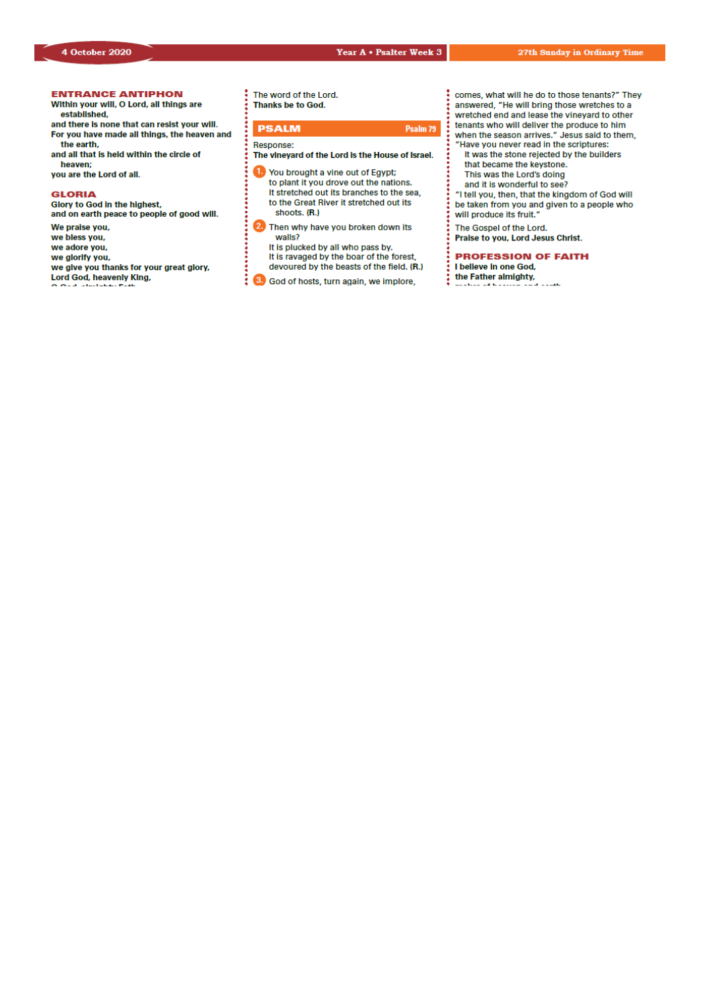## *Our Lady & St Edmund of Abingdon 1 Radley Rd, Abingdon on Thames, Oxon, OX14 3PL*

We are a **LiveSimply** parish aiming to live Simply, Sustainably and in Solidarity with the Poor

| Parish Priest:              | Fr. Jamie McGrath                                               | Tel: 01235 520375 |  |
|-----------------------------|-----------------------------------------------------------------|-------------------|--|
| Parish Secretary:           | Lisa Paterson                                                   | Tel: 01235 520375 |  |
| Office Hours:               | 10.30am-12.30pm Tuesday to Friday                               |                   |  |
| Office Email:               | abingdon@portsmouthdiocese.org.uk                               |                   |  |
| We live stream all services |                                                                 |                   |  |
| Safeguarding Team:          | Tel. 07572 935 230                                              |                   |  |
| Visits at JR Hospital:      | Fr Pius 01865 221732                                            |                   |  |
| Visits and Help:            | Society of Vincent de Paul Group, contact via Parish Office     |                   |  |
| Parish Website:             | www.ourladyandstedmund.org.uk                                   |                   |  |
| Primary School:             | St. Edmund's School, Radley Road, Abingdon, OX14 3PP Tel 521558 |                   |  |
|                             |                                                                 |                   |  |



**CONFESSIONS:** For now, this is by appointment only. Please contact the parish office to make a booking.

#### **PRIVATE PRAYER**

The church will be open for **private prayer only**, between **12.00pm and 1.00pm on Tuesdays** and **Fridays**.

#### **MASS BOOKINGS**

Please remember that *bookings for the whole week beginning Sunday 11th Oct. to Saturday 17th Oct.* should be made on *Monday 5th October*. Do please *try and give us several options for days/times* when you could come and let us know *how many people you are booking for*. We will do our best to accommodate your request. If you would like to attend more than one Mass in the week, please make this clear when you book.

- o Those people *without* Internet access can phone **07395 946827** between 10am and 11am **each Monday** to give the day of the week when they are able to attend Mass. *There is no recorded answering message system.* Please do not use the office phone number or phone outside of this time period.
- o Those *with* Internet access are asked **not** to use the phone booking system, but instead to email us at: *contact@ourladyandstedmund.org.uk* giving us 2 to 3 possible days of the week when you can attend Mass. Please do this **each Monday**. You will then receive a reply with the day allocated to you.
- o In all cases, you are asked to state the number in your family who will be attending Mass. This is essential for our planning and to maintain safety distances.
- o Be aware that singing is not yet permitted under the guidelines. Also, there will be no collection basket passed around, but you may leave donations as you leave the Church.
- o Please note that there are currently only **two** Sunday Masses – one at **10.15am and the other at 6.30pm**.

Thank you all very much for your patience and help.

Roman Catholic Diocese of Portsmouth Reg. Charity No 246871 www.portsmouthdiocese.org.uk

#### **27th week of Ordinary Time** *In Church for those who booked, and also live streamed*

#### **Sunday 4 October**

| 10.15am            | Mass        | (Paul Gibbons, RIP)      |
|--------------------|-------------|--------------------------|
| 2.00 <sub>pm</sub> | Polish Mass |                          |
| 6.30 <sub>pm</sub> | Mass        | (Mary Kelly, intentions) |

#### **Monday 5 October**

9am Mass (Mary Angela Evans, RIP)

#### **Tuesday 6 October**

NO Mass See: *www.ourladyandstedmund.org.uk/englishmartyrs-vale-of-white-horse* for other masses

#### **Wednesday 7 October (Our Lady of the Rosary)**

7pm Mass (Marie Tierney, RIP)

#### **Thursday 8 October**

9.30am Mass (Mary Rogers, RIP)

**Friday 9 October**

7pm Mass (Geoff & Florence Young, intentions – wedding anniversary)

#### **Saturday 10 October**

12pm Mass (Special intention)

# **HOW TO BOOK FOR MASS**

**No Internet Access?** 

Phone 07395 946827 EACH MONDAY between 10am and 11am ONLY to book a place for the FOLLOWING week

### **Have Internet Access?**

**DON'T phone. Instead, email:** contact@ourladyandstedmund.org.uk **EACH MONDAY, to book a place for the FOLLOWING week**